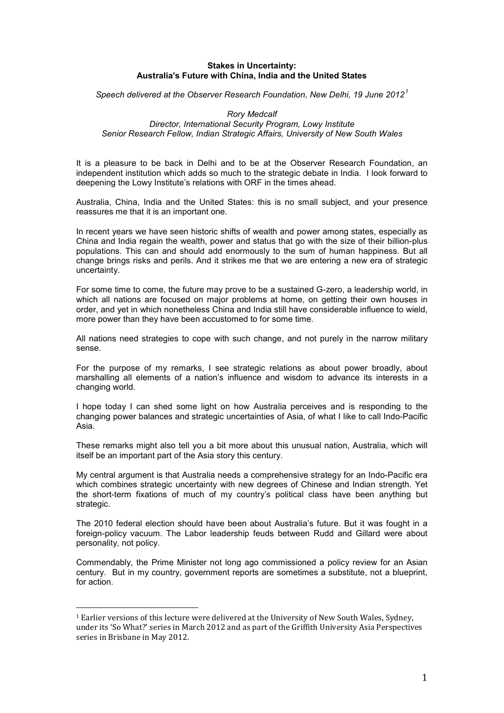# **Stakes in Uncertainty: Australia's Future with China, India and the United States**

*Speech delivered at the Observer Research Foundation, New Delhi, 19 June 2012[1](#page-0-0)*

### *Rory Medcalf Director, International Security Program, Lowy Institute Senior Research Fellow, Indian Strategic Affairs, University of New South Wales*

It is a pleasure to be back in Delhi and to be at the Observer Research Foundation, an independent institution which adds so much to the strategic debate in India. I look forward to deepening the Lowy Institute's relations with ORF in the times ahead.

Australia, China, India and the United States: this is no small subject, and your presence reassures me that it is an important one.

In recent years we have seen historic shifts of wealth and power among states, especially as China and India regain the wealth, power and status that go with the size of their billion-plus populations. This can and should add enormously to the sum of human happiness. But all change brings risks and perils. And it strikes me that we are entering a new era of strategic uncertainty.

For some time to come, the future may prove to be a sustained G-zero, a leadership world, in which all nations are focused on major problems at home, on getting their own houses in order, and yet in which nonetheless China and India still have considerable influence to wield, more power than they have been accustomed to for some time.

All nations need strategies to cope with such change, and not purely in the narrow military sense.

For the purpose of my remarks, I see strategic relations as about power broadly, about marshalling all elements of a nation's influence and wisdom to advance its interests in a changing world.

I hope today I can shed some light on how Australia perceives and is responding to the changing power balances and strategic uncertainties of Asia, of what I like to call Indo-Pacific Asia.

These remarks might also tell you a bit more about this unusual nation, Australia, which will itself be an important part of the Asia story this century.

My central argument is that Australia needs a comprehensive strategy for an Indo-Pacific era which combines strategic uncertainty with new degrees of Chinese and Indian strength. Yet the short-term fixations of much of my country's political class have been anything but strategic.

The 2010 federal election should have been about Australia's future. But it was fought in a foreign-policy vacuum. The Labor leadership feuds between Rudd and Gillard were about personality, not policy.

Commendably, the Prime Minister not long ago commissioned a policy review for an Asian century. But in my country, government reports are sometimes a substitute, not a blueprint, for action.

<span id="page-0-0"></span><sup>&</sup>lt;sup>1</sup> Earlier versions of this lecture were delivered at the University of New South Wales, Sydney, under its 'So What?' series in March 2012 and as part of the Griffith University Asia Perspectives series in Brisbane in May 2012.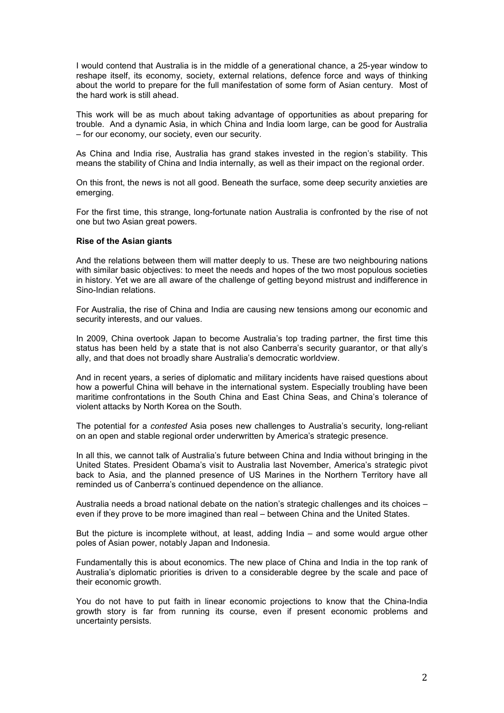I would contend that Australia is in the middle of a generational chance, a 25-year window to reshape itself, its economy, society, external relations, defence force and ways of thinking about the world to prepare for the full manifestation of some form of Asian century. Most of the hard work is still ahead.

This work will be as much about taking advantage of opportunities as about preparing for trouble. And a dynamic Asia, in which China and India loom large, can be good for Australia – for our economy, our society, even our security.

As China and India rise, Australia has grand stakes invested in the region's stability. This means the stability of China and India internally, as well as their impact on the regional order.

On this front, the news is not all good. Beneath the surface, some deep security anxieties are emerging.

For the first time, this strange, long-fortunate nation Australia is confronted by the rise of not one but two Asian great powers.

### **Rise of the Asian giants**

And the relations between them will matter deeply to us. These are two neighbouring nations with similar basic objectives: to meet the needs and hopes of the two most populous societies in history. Yet we are all aware of the challenge of getting beyond mistrust and indifference in Sino-Indian relations.

For Australia, the rise of China and India are causing new tensions among our economic and security interests, and our values.

In 2009, China overtook Japan to become Australia's top trading partner, the first time this status has been held by a state that is not also Canberra's security guarantor, or that ally's ally, and that does not broadly share Australia's democratic worldview.

And in recent years, a series of diplomatic and military incidents have raised questions about how a powerful China will behave in the international system. Especially troubling have been maritime confrontations in the South China and East China Seas, and China's tolerance of violent attacks by North Korea on the South.

The potential for a *contested* Asia poses new challenges to Australia's security, long-reliant on an open and stable regional order underwritten by America's strategic presence.

In all this, we cannot talk of Australia's future between China and India without bringing in the United States. President Obama's visit to Australia last November, America's strategic pivot back to Asia, and the planned presence of US Marines in the Northern Territory have all reminded us of Canberra's continued dependence on the alliance.

Australia needs a broad national debate on the nation's strategic challenges and its choices – even if they prove to be more imagined than real – between China and the United States.

But the picture is incomplete without, at least, adding India – and some would argue other poles of Asian power, notably Japan and Indonesia.

Fundamentally this is about economics. The new place of China and India in the top rank of Australia's diplomatic priorities is driven to a considerable degree by the scale and pace of their economic growth.

You do not have to put faith in linear economic projections to know that the China-India growth story is far from running its course, even if present economic problems and uncertainty persists.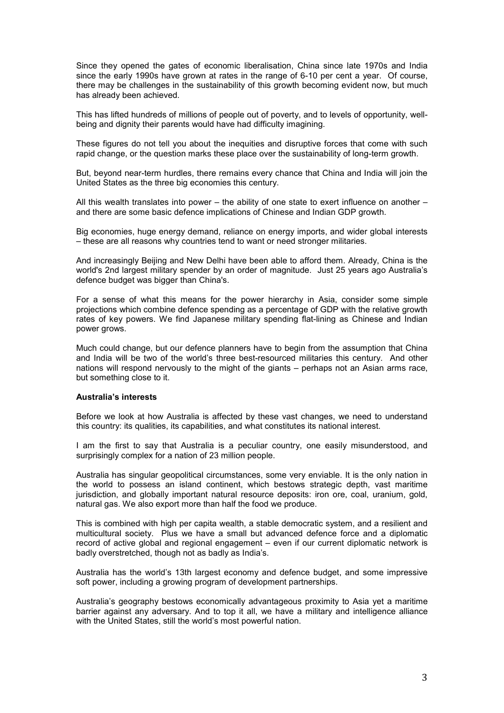Since they opened the gates of economic liberalisation, China since late 1970s and India since the early 1990s have grown at rates in the range of 6-10 per cent a year. Of course, there may be challenges in the sustainability of this growth becoming evident now, but much has already been achieved.

This has lifted hundreds of millions of people out of poverty, and to levels of opportunity, wellbeing and dignity their parents would have had difficulty imagining.

These figures do not tell you about the inequities and disruptive forces that come with such rapid change, or the question marks these place over the sustainability of long-term growth.

But, beyond near-term hurdles, there remains every chance that China and India will join the United States as the three big economies this century.

All this wealth translates into power – the ability of one state to exert influence on another – and there are some basic defence implications of Chinese and Indian GDP growth.

Big economies, huge energy demand, reliance on energy imports, and wider global interests – these are all reasons why countries tend to want or need stronger militaries.

And increasingly Beijing and New Delhi have been able to afford them. Already, China is the world's 2nd largest military spender by an order of magnitude. Just 25 years ago Australia's defence budget was bigger than China's.

For a sense of what this means for the power hierarchy in Asia, consider some simple projections which combine defence spending as a percentage of GDP with the relative growth rates of key powers. We find Japanese military spending flat-lining as Chinese and Indian power grows.

Much could change, but our defence planners have to begin from the assumption that China and India will be two of the world's three best-resourced militaries this century. And other nations will respond nervously to the might of the giants – perhaps not an Asian arms race, but something close to it.

### **Australia's interests**

Before we look at how Australia is affected by these vast changes, we need to understand this country: its qualities, its capabilities, and what constitutes its national interest.

I am the first to say that Australia is a peculiar country, one easily misunderstood, and surprisingly complex for a nation of 23 million people.

Australia has singular geopolitical circumstances, some very enviable. It is the only nation in the world to possess an island continent, which bestows strategic depth, vast maritime jurisdiction, and globally important natural resource deposits: iron ore, coal, uranium, gold, natural gas. We also export more than half the food we produce.

This is combined with high per capita wealth, a stable democratic system, and a resilient and multicultural society. Plus we have a small but advanced defence force and a diplomatic record of active global and regional engagement – even if our current diplomatic network is badly overstretched, though not as badly as India's.

Australia has the world's 13th largest economy and defence budget, and some impressive soft power, including a growing program of development partnerships.

Australia's geography bestows economically advantageous proximity to Asia yet a maritime barrier against any adversary. And to top it all, we have a military and intelligence alliance with the United States, still the world's most powerful nation.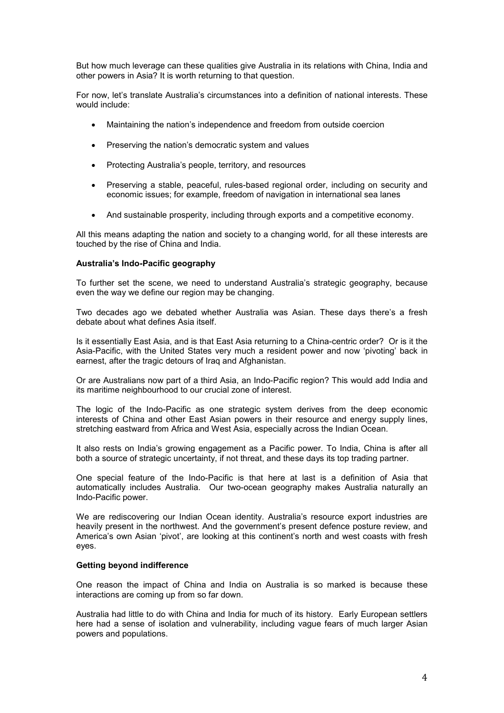But how much leverage can these qualities give Australia in its relations with China, India and other powers in Asia? It is worth returning to that question.

For now, let's translate Australia's circumstances into a definition of national interests. These would include:

- Maintaining the nation's independence and freedom from outside coercion
- Preserving the nation's democratic system and values
- Protecting Australia's people, territory, and resources
- Preserving a stable, peaceful, rules-based regional order, including on security and economic issues; for example, freedom of navigation in international sea lanes
- And sustainable prosperity, including through exports and a competitive economy.

All this means adapting the nation and society to a changing world, for all these interests are touched by the rise of China and India.

# **Australia's Indo-Pacific geography**

To further set the scene, we need to understand Australia's strategic geography, because even the way we define our region may be changing.

Two decades ago we debated whether Australia was Asian. These days there's a fresh debate about what defines Asia itself.

Is it essentially East Asia, and is that East Asia returning to a China-centric order? Or is it the Asia-Pacific, with the United States very much a resident power and now 'pivoting' back in earnest, after the tragic detours of Iraq and Afghanistan.

Or are Australians now part of a third Asia, an Indo-Pacific region? This would add India and its maritime neighbourhood to our crucial zone of interest.

The logic of the Indo-Pacific as one strategic system derives from the deep economic interests of China and other East Asian powers in their resource and energy supply lines, stretching eastward from Africa and West Asia, especially across the Indian Ocean.

It also rests on India's growing engagement as a Pacific power. To India, China is after all both a source of strategic uncertainty, if not threat, and these days its top trading partner.

One special feature of the Indo-Pacific is that here at last is a definition of Asia that automatically includes Australia. Our two-ocean geography makes Australia naturally an Indo-Pacific power.

We are rediscovering our Indian Ocean identity. Australia's resource export industries are heavily present in the northwest. And the government's present defence posture review, and America's own Asian 'pivot', are looking at this continent's north and west coasts with fresh eyes.

## **Getting beyond indifference**

One reason the impact of China and India on Australia is so marked is because these interactions are coming up from so far down.

Australia had little to do with China and India for much of its history. Early European settlers here had a sense of isolation and vulnerability, including vague fears of much larger Asian powers and populations.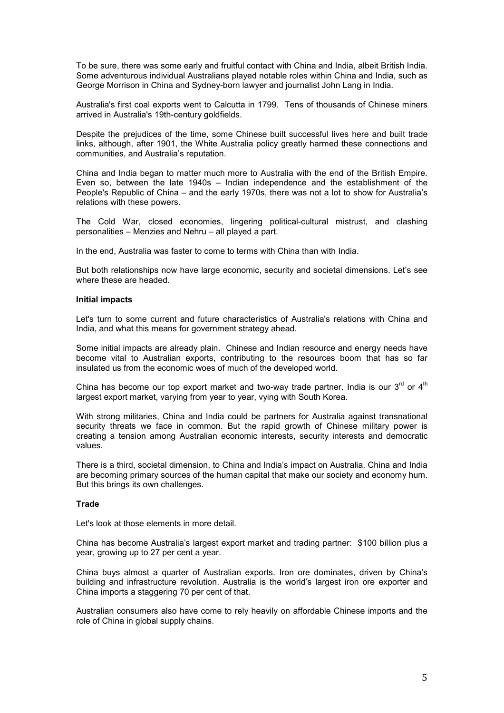To be sure, there was some early and fruitful contact with China and India, albeit British India. Some adventurous individual Australians played notable roles within China and India, such as George Morrison in China and Sydney-born lawyer and journalist John Lang in India.

Australia's first coal exports went to Calcutta in 1799. Tens of thousands of Chinese miners arrived in Australia's 19th-century goldfields.

Despite the prejudices of the time, some Chinese built successful lives here and built trade links, although, after 1901, the White Australia policy greatly harmed these connections and communities, and Australia's reputation.

China and India began to matter much more to Australia with the end of the British Empire. Even so, between the late 1940s – Indian independence and the establishment of the People's Republic of China – and the early 1970s, there was not a lot to show for Australia's relations with these powers.

The Cold War, closed economies, lingering political-cultural mistrust, and clashing personalities – Menzies and Nehru – all played a part.

In the end, Australia was faster to come to terms with China than with India.

But both relationships now have large economic, security and societal dimensions. Let's see where these are headed.

### **Initial impacts**

Let's turn to some current and future characteristics of Australia's relations with China and India, and what this means for government strategy ahead.

Some initial impacts are already plain. Chinese and Indian resource and energy needs have become vital to Australian exports, contributing to the resources boom that has so far insulated us from the economic woes of much of the developed world.

China has become our top export market and two-way trade partner. India is our  $3^{rd}$  or  $4^{th}$ largest export market, varying from year to year, vying with South Korea.

With strong militaries, China and India could be partners for Australia against transnational security threats we face in common. But the rapid growth of Chinese military power is creating a tension among Australian economic interests, security interests and democratic values.

There is a third, societal dimension, to China and India's impact on Australia. China and India are becoming primary sources of the human capital that make our society and economy hum. But this brings its own challenges.

# **Trade**

Let's look at those elements in more detail.

China has become Australia's largest export market and trading partner: \$100 billion plus a year, growing up to 27 per cent a year.

China buys almost a quarter of Australian exports. Iron ore dominates, driven by China's building and infrastructure revolution. Australia is the world's largest iron ore exporter and China imports a staggering 70 per cent of that.

Australian consumers also have come to rely heavily on affordable Chinese imports and the role of China in global supply chains.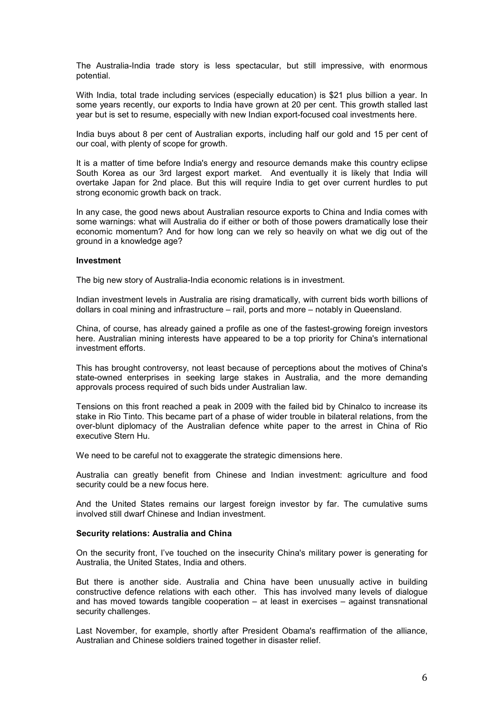The Australia-India trade story is less spectacular, but still impressive, with enormous potential.

With India, total trade including services (especially education) is \$21 plus billion a year. In some years recently, our exports to India have grown at 20 per cent. This growth stalled last year but is set to resume, especially with new Indian export-focused coal investments here.

India buys about 8 per cent of Australian exports, including half our gold and 15 per cent of our coal, with plenty of scope for growth.

It is a matter of time before India's energy and resource demands make this country eclipse South Korea as our 3rd largest export market. And eventually it is likely that India will overtake Japan for 2nd place. But this will require India to get over current hurdles to put strong economic growth back on track.

In any case, the good news about Australian resource exports to China and India comes with some warnings: what will Australia do if either or both of those powers dramatically lose their economic momentum? And for how long can we rely so heavily on what we dig out of the ground in a knowledge age?

## **Investment**

The big new story of Australia-India economic relations is in investment.

Indian investment levels in Australia are rising dramatically, with current bids worth billions of dollars in coal mining and infrastructure – rail, ports and more – notably in Queensland.

China, of course, has already gained a profile as one of the fastest-growing foreign investors here. Australian mining interests have appeared to be a top priority for China's international investment efforts.

This has brought controversy, not least because of perceptions about the motives of China's state-owned enterprises in seeking large stakes in Australia, and the more demanding approvals process required of such bids under Australian law.

Tensions on this front reached a peak in 2009 with the failed bid by Chinalco to increase its stake in Rio Tinto. This became part of a phase of wider trouble in bilateral relations, from the over-blunt diplomacy of the Australian defence white paper to the arrest in China of Rio executive Stern Hu.

We need to be careful not to exaggerate the strategic dimensions here.

Australia can greatly benefit from Chinese and Indian investment: agriculture and food security could be a new focus here.

And the United States remains our largest foreign investor by far. The cumulative sums involved still dwarf Chinese and Indian investment.

## **Security relations: Australia and China**

On the security front, I've touched on the insecurity China's military power is generating for Australia, the United States, India and others.

But there is another side. Australia and China have been unusually active in building constructive defence relations with each other. This has involved many levels of dialogue and has moved towards tangible cooperation – at least in exercises – against transnational security challenges.

Last November, for example, shortly after President Obama's reaffirmation of the alliance, Australian and Chinese soldiers trained together in disaster relief.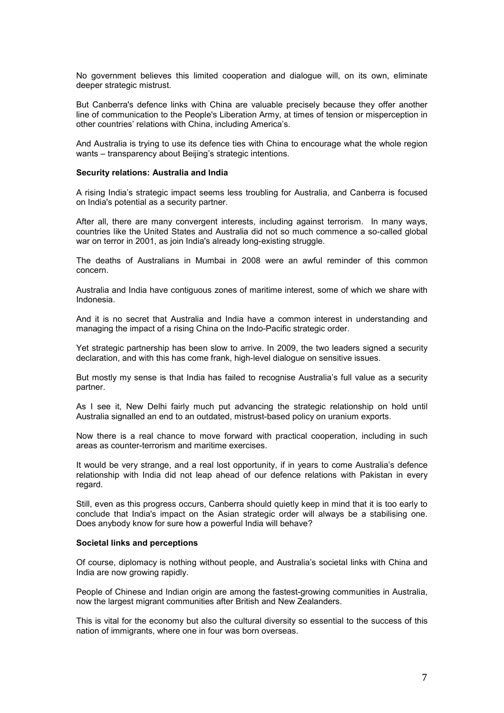No government believes this limited cooperation and dialogue will, on its own, eliminate deeper strategic mistrust.

But Canberra's defence links with China are valuable precisely because they offer another line of communication to the People's Liberation Army, at times of tension or misperception in other countries' relations with China, including America's.

And Australia is trying to use its defence ties with China to encourage what the whole region wants – transparency about Beijing's strategic intentions.

#### **Security relations: Australia and India**

A rising India's strategic impact seems less troubling for Australia, and Canberra is focused on India's potential as a security partner.

After all, there are many convergent interests, including against terrorism. In many ways, countries like the United States and Australia did not so much commence a so-called global war on terror in 2001, as join India's already long-existing struggle.

The deaths of Australians in Mumbai in 2008 were an awful reminder of this common concern.

Australia and India have contiguous zones of maritime interest, some of which we share with Indonesia.

And it is no secret that Australia and India have a common interest in understanding and managing the impact of a rising China on the Indo-Pacific strategic order.

Yet strategic partnership has been slow to arrive. In 2009, the two leaders signed a security declaration, and with this has come frank, high-level dialogue on sensitive issues.

But mostly my sense is that India has failed to recognise Australia's full value as a security partner.

As I see it, New Delhi fairly much put advancing the strategic relationship on hold until Australia signalled an end to an outdated, mistrust-based policy on uranium exports.

Now there is a real chance to move forward with practical cooperation, including in such areas as counter-terrorism and maritime exercises.

It would be very strange, and a real lost opportunity, if in years to come Australia's defence relationship with India did not leap ahead of our defence relations with Pakistan in every regard.

Still, even as this progress occurs, Canberra should quietly keep in mind that it is too early to conclude that India's impact on the Asian strategic order will always be a stabilising one. Does anybody know for sure how a powerful India will behave?

#### **Societal links and perceptions**

Of course, diplomacy is nothing without people, and Australia's societal links with China and India are now growing rapidly.

People of Chinese and Indian origin are among the fastest-growing communities in Australia, now the largest migrant communities after British and New Zealanders.

This is vital for the economy but also the cultural diversity so essential to the success of this nation of immigrants, where one in four was born overseas.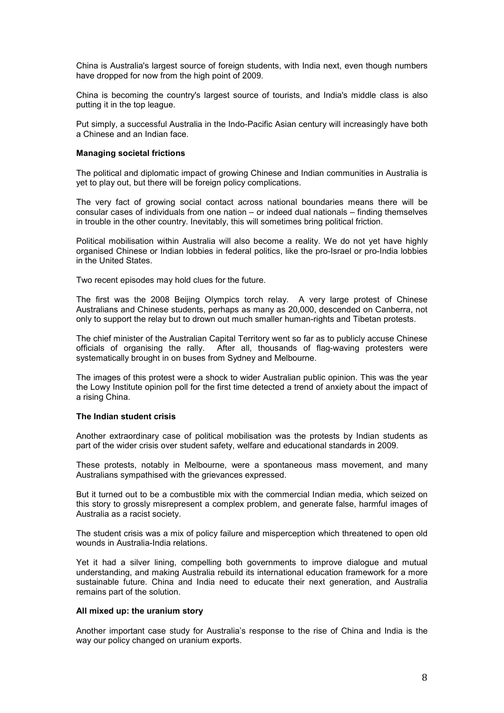China is Australia's largest source of foreign students, with India next, even though numbers have dropped for now from the high point of 2009.

China is becoming the country's largest source of tourists, and India's middle class is also putting it in the top league.

Put simply, a successful Australia in the Indo-Pacific Asian century will increasingly have both a Chinese and an Indian face.

### **Managing societal frictions**

The political and diplomatic impact of growing Chinese and Indian communities in Australia is yet to play out, but there will be foreign policy complications.

The very fact of growing social contact across national boundaries means there will be consular cases of individuals from one nation – or indeed dual nationals – finding themselves in trouble in the other country. Inevitably, this will sometimes bring political friction.

Political mobilisation within Australia will also become a reality. We do not yet have highly organised Chinese or Indian lobbies in federal politics, like the pro-Israel or pro-India lobbies in the United States.

Two recent episodes may hold clues for the future.

The first was the 2008 Beijing Olympics torch relay. A very large protest of Chinese Australians and Chinese students, perhaps as many as 20,000, descended on Canberra, not only to support the relay but to drown out much smaller human-rights and Tibetan protests.

The chief minister of the Australian Capital Territory went so far as to publicly accuse Chinese officials of organising the rally. After all, thousands of flag-waving protesters were systematically brought in on buses from Sydney and Melbourne.

The images of this protest were a shock to wider Australian public opinion. This was the year the Lowy Institute opinion poll for the first time detected a trend of anxiety about the impact of a rising China.

#### **The Indian student crisis**

Another extraordinary case of political mobilisation was the protests by Indian students as part of the wider crisis over student safety, welfare and educational standards in 2009.

These protests, notably in Melbourne, were a spontaneous mass movement, and many Australians sympathised with the grievances expressed.

But it turned out to be a combustible mix with the commercial Indian media, which seized on this story to grossly misrepresent a complex problem, and generate false, harmful images of Australia as a racist society.

The student crisis was a mix of policy failure and misperception which threatened to open old wounds in Australia-India relations.

Yet it had a silver lining, compelling both governments to improve dialogue and mutual understanding, and making Australia rebuild its international education framework for a more sustainable future. China and India need to educate their next generation, and Australia remains part of the solution.

## **All mixed up: the uranium story**

Another important case study for Australia's response to the rise of China and India is the way our policy changed on uranium exports.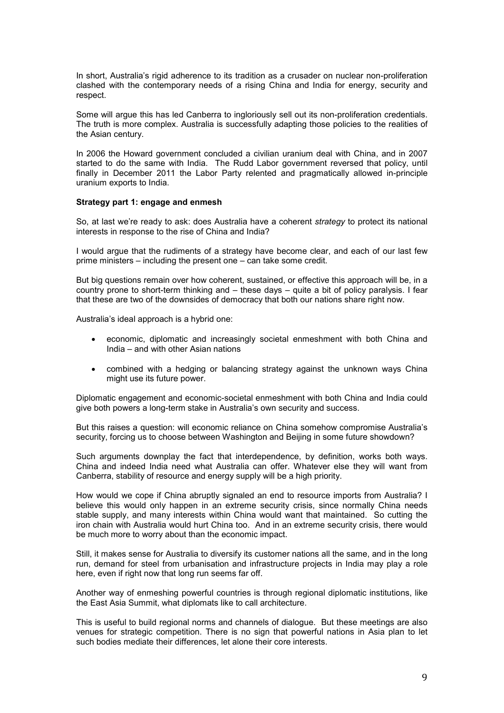In short, Australia's rigid adherence to its tradition as a crusader on nuclear non-proliferation clashed with the contemporary needs of a rising China and India for energy, security and respect.

Some will argue this has led Canberra to ingloriously sell out its non-proliferation credentials. The truth is more complex. Australia is successfully adapting those policies to the realities of the Asian century.

In 2006 the Howard government concluded a civilian uranium deal with China, and in 2007 started to do the same with India. The Rudd Labor government reversed that policy, until finally in December 2011 the Labor Party relented and pragmatically allowed in-principle uranium exports to India.

### **Strategy part 1: engage and enmesh**

So, at last we're ready to ask: does Australia have a coherent *strategy* to protect its national interests in response to the rise of China and India?

I would argue that the rudiments of a strategy have become clear, and each of our last few prime ministers – including the present one – can take some credit.

But big questions remain over how coherent, sustained, or effective this approach will be, in a country prone to short-term thinking and – these days – quite a bit of policy paralysis. I fear that these are two of the downsides of democracy that both our nations share right now.

Australia's ideal approach is a hybrid one:

- economic, diplomatic and increasingly societal enmeshment with both China and India – and with other Asian nations
- combined with a hedging or balancing strategy against the unknown ways China might use its future power.

Diplomatic engagement and economic-societal enmeshment with both China and India could give both powers a long-term stake in Australia's own security and success.

But this raises a question: will economic reliance on China somehow compromise Australia's security, forcing us to choose between Washington and Beijing in some future showdown?

Such arguments downplay the fact that interdependence, by definition, works both ways. China and indeed India need what Australia can offer. Whatever else they will want from Canberra, stability of resource and energy supply will be a high priority.

How would we cope if China abruptly signaled an end to resource imports from Australia? I believe this would only happen in an extreme security crisis, since normally China needs stable supply, and many interests within China would want that maintained. So cutting the iron chain with Australia would hurt China too. And in an extreme security crisis, there would be much more to worry about than the economic impact.

Still, it makes sense for Australia to diversify its customer nations all the same, and in the long run, demand for steel from urbanisation and infrastructure projects in India may play a role here, even if right now that long run seems far off.

Another way of enmeshing powerful countries is through regional diplomatic institutions, like the East Asia Summit, what diplomats like to call architecture.

This is useful to build regional norms and channels of dialogue. But these meetings are also venues for strategic competition. There is no sign that powerful nations in Asia plan to let such bodies mediate their differences, let alone their core interests.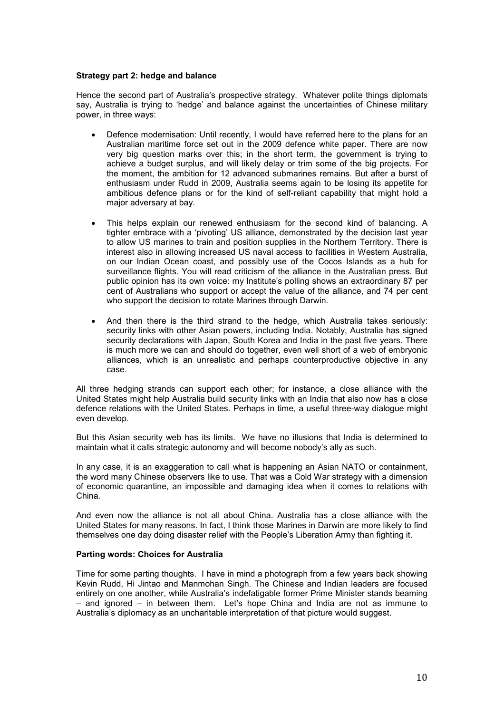## **Strategy part 2: hedge and balance**

Hence the second part of Australia's prospective strategy. Whatever polite things diplomats say, Australia is trying to 'hedge' and balance against the uncertainties of Chinese military power, in three ways:

- Defence modernisation: Until recently, I would have referred here to the plans for an Australian maritime force set out in the 2009 defence white paper. There are now very big question marks over this; in the short term, the government is trying to achieve a budget surplus, and will likely delay or trim some of the big projects. For the moment, the ambition for 12 advanced submarines remains. But after a burst of enthusiasm under Rudd in 2009, Australia seems again to be losing its appetite for ambitious defence plans or for the kind of self-reliant capability that might hold a major adversary at bay.
- This helps explain our renewed enthusiasm for the second kind of balancing. A tighter embrace with a 'pivoting' US alliance, demonstrated by the decision last year to allow US marines to train and position supplies in the Northern Territory. There is interest also in allowing increased US naval access to facilities in Western Australia, on our Indian Ocean coast, and possibly use of the Cocos Islands as a hub for surveillance flights. You will read criticism of the alliance in the Australian press. But public opinion has its own voice: my Institute's polling shows an extraordinary 87 per cent of Australians who support or accept the value of the alliance, and 74 per cent who support the decision to rotate Marines through Darwin.
- And then there is the third strand to the hedge, which Australia takes seriously: security links with other Asian powers, including India. Notably, Australia has signed security declarations with Japan, South Korea and India in the past five years. There is much more we can and should do together, even well short of a web of embryonic alliances, which is an unrealistic and perhaps counterproductive objective in any case.

All three hedging strands can support each other; for instance, a close alliance with the United States might help Australia build security links with an India that also now has a close defence relations with the United States. Perhaps in time, a useful three-way dialogue might even develop.

But this Asian security web has its limits. We have no illusions that India is determined to maintain what it calls strategic autonomy and will become nobody's ally as such.

In any case, it is an exaggeration to call what is happening an Asian NATO or containment, the word many Chinese observers like to use. That was a Cold War strategy with a dimension of economic quarantine, an impossible and damaging idea when it comes to relations with China.

And even now the alliance is not all about China. Australia has a close alliance with the United States for many reasons. In fact, I think those Marines in Darwin are more likely to find themselves one day doing disaster relief with the People's Liberation Army than fighting it.

## **Parting words: Choices for Australia**

Time for some parting thoughts. I have in mind a photograph from a few years back showing Kevin Rudd, Hi Jintao and Manmohan Singh. The Chinese and Indian leaders are focused entirely on one another, while Australia's indefatigable former Prime Minister stands beaming – and ignored – in between them. Let's hope China and India are not as immune to Australia's diplomacy as an uncharitable interpretation of that picture would suggest.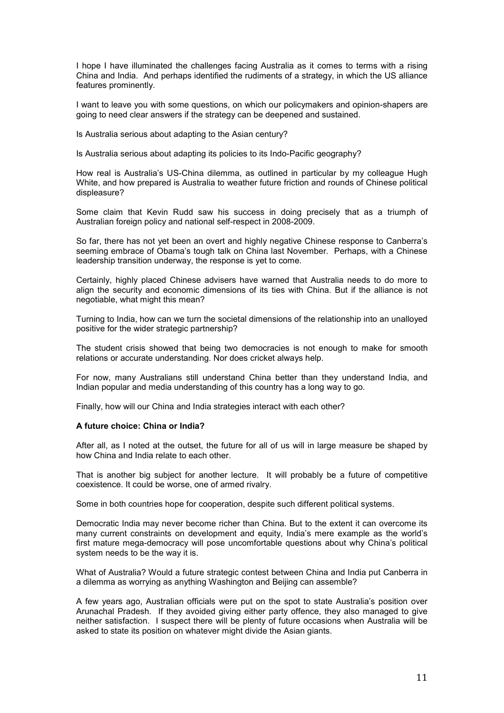I hope I have illuminated the challenges facing Australia as it comes to terms with a rising China and India. And perhaps identified the rudiments of a strategy, in which the US alliance features prominently.

I want to leave you with some questions, on which our policymakers and opinion-shapers are going to need clear answers if the strategy can be deepened and sustained.

Is Australia serious about adapting to the Asian century?

Is Australia serious about adapting its policies to its Indo-Pacific geography?

How real is Australia's US-China dilemma, as outlined in particular by my colleague Hugh White, and how prepared is Australia to weather future friction and rounds of Chinese political displeasure?

Some claim that Kevin Rudd saw his success in doing precisely that as a triumph of Australian foreign policy and national self-respect in 2008-2009.

So far, there has not yet been an overt and highly negative Chinese response to Canberra's seeming embrace of Obama's tough talk on China last November. Perhaps, with a Chinese leadership transition underway, the response is yet to come.

Certainly, highly placed Chinese advisers have warned that Australia needs to do more to align the security and economic dimensions of its ties with China. But if the alliance is not negotiable, what might this mean?

Turning to India, how can we turn the societal dimensions of the relationship into an unalloyed positive for the wider strategic partnership?

The student crisis showed that being two democracies is not enough to make for smooth relations or accurate understanding. Nor does cricket always help.

For now, many Australians still understand China better than they understand India, and Indian popular and media understanding of this country has a long way to go.

Finally, how will our China and India strategies interact with each other?

## **A future choice: China or India?**

After all, as I noted at the outset, the future for all of us will in large measure be shaped by how China and India relate to each other.

That is another big subject for another lecture. It will probably be a future of competitive coexistence. It could be worse, one of armed rivalry.

Some in both countries hope for cooperation, despite such different political systems.

Democratic India may never become richer than China. But to the extent it can overcome its many current constraints on development and equity, India's mere example as the world's first mature mega-democracy will pose uncomfortable questions about why China's political system needs to be the way it is.

What of Australia? Would a future strategic contest between China and India put Canberra in a dilemma as worrying as anything Washington and Beijing can assemble?

A few years ago, Australian officials were put on the spot to state Australia's position over Arunachal Pradesh. If they avoided giving either party offence, they also managed to give neither satisfaction. I suspect there will be plenty of future occasions when Australia will be asked to state its position on whatever might divide the Asian giants.